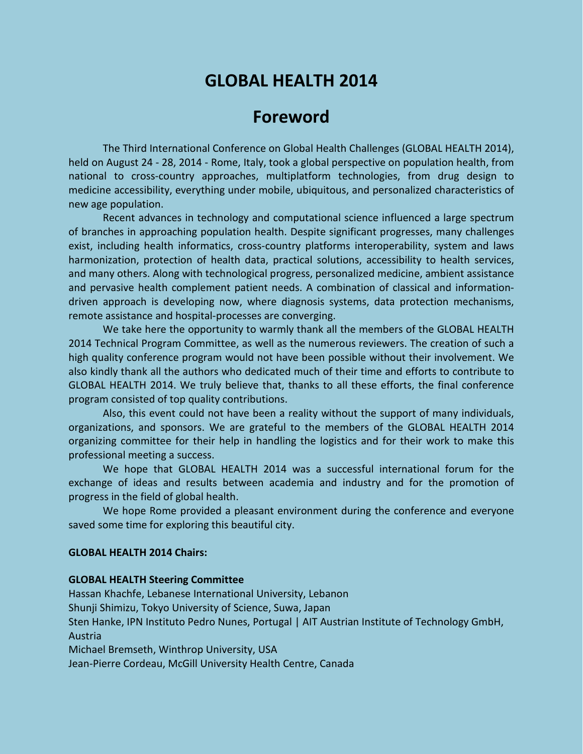# **GLOBAL HEALTH 2014**

## **Foreword**

The Third International Conference on Global Health Challenges (GLOBAL HEALTH 2014), held on August 24 - 28, 2014 - Rome, Italy, took a global perspective on population health, from national to cross-country approaches, multiplatform technologies, from drug design to medicine accessibility, everything under mobile, ubiquitous, and personalized characteristics of new age population.

Recent advances in technology and computational science influenced a large spectrum of branches in approaching population health. Despite significant progresses, many challenges exist, including health informatics, cross-country platforms interoperability, system and laws harmonization, protection of health data, practical solutions, accessibility to health services, and many others. Along with technological progress, personalized medicine, ambient assistance and pervasive health complement patient needs. A combination of classical and informationdriven approach is developing now, where diagnosis systems, data protection mechanisms, remote assistance and hospital-processes are converging.

We take here the opportunity to warmly thank all the members of the GLOBAL HEALTH 2014 Technical Program Committee, as well as the numerous reviewers. The creation of such a high quality conference program would not have been possible without their involvement. We also kindly thank all the authors who dedicated much of their time and efforts to contribute to GLOBAL HEALTH 2014. We truly believe that, thanks to all these efforts, the final conference program consisted of top quality contributions.

Also, this event could not have been a reality without the support of many individuals, organizations, and sponsors. We are grateful to the members of the GLOBAL HEALTH 2014 organizing committee for their help in handling the logistics and for their work to make this professional meeting a success.

We hope that GLOBAL HEALTH 2014 was a successful international forum for the exchange of ideas and results between academia and industry and for the promotion of progress in the field of global health.

We hope Rome provided a pleasant environment during the conference and everyone saved some time for exploring this beautiful city.

#### **GLOBAL HEALTH 2014 Chairs:**

#### **GLOBAL HEALTH Steering Committee**

Hassan Khachfe, Lebanese International University, Lebanon Shunji Shimizu, Tokyo University of Science, Suwa, Japan Sten Hanke, IPN Instituto Pedro Nunes, Portugal | AIT Austrian Institute of Technology GmbH, Austria Michael Bremseth, Winthrop University, USA Jean-Pierre Cordeau, McGill University Health Centre, Canada